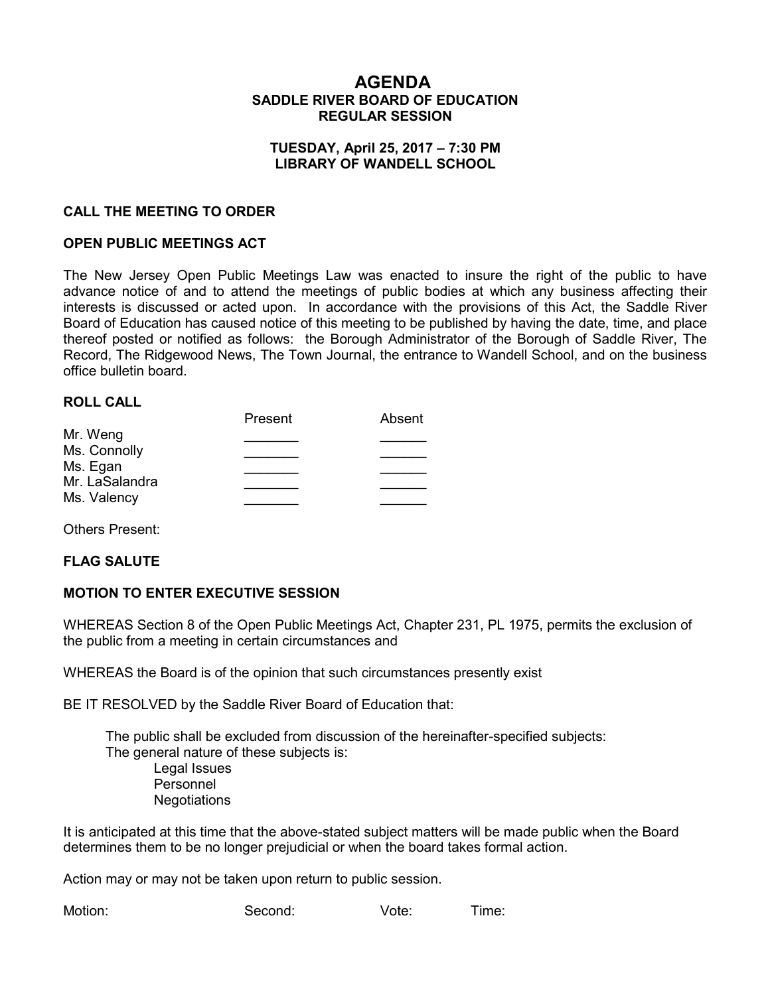## **AGENDA SADDLE RIVER BOARD OF EDUCATION REGULAR SESSION**

#### **TUESDAY, April 25, 2017 – 7:30 PM LIBRARY OF WANDELL SCHOOL**

#### **CALL THE MEETING TO ORDER**

#### **OPEN PUBLIC MEETINGS ACT**

The New Jersey Open Public Meetings Law was enacted to insure the right of the public to have advance notice of and to attend the meetings of public bodies at which any business affecting their interests is discussed or acted upon. In accordance with the provisions of this Act, the Saddle River Board of Education has caused notice of this meeting to be published by having the date, time, and place thereof posted or notified as follows: the Borough Administrator of the Borough of Saddle River, The Record, The Ridgewood News, The Town Journal, the entrance to Wandell School, and on the business office bulletin board.

#### **ROLL CALL**

|                | Present | Absent |
|----------------|---------|--------|
| Mr. Weng       |         |        |
| Ms. Connolly   |         |        |
| Ms. Egan       |         |        |
| Mr. LaSalandra |         |        |
| Ms. Valency    |         |        |
|                |         |        |

Others Present:

#### **FLAG SALUTE**

#### **MOTION TO ENTER EXECUTIVE SESSION**

WHEREAS Section 8 of the Open Public Meetings Act, Chapter 231, PL 1975, permits the exclusion of the public from a meeting in certain circumstances and

WHEREAS the Board is of the opinion that such circumstances presently exist

BE IT RESOLVED by the Saddle River Board of Education that:

 The public shall be excluded from discussion of the hereinafter-specified subjects: The general nature of these subjects is: Legal Issues Personnel **Negotiations** 

It is anticipated at this time that the above-stated subject matters will be made public when the Board determines them to be no longer prejudicial or when the board takes formal action.

Action may or may not be taken upon return to public session.

Motion: Second: Vote: Time: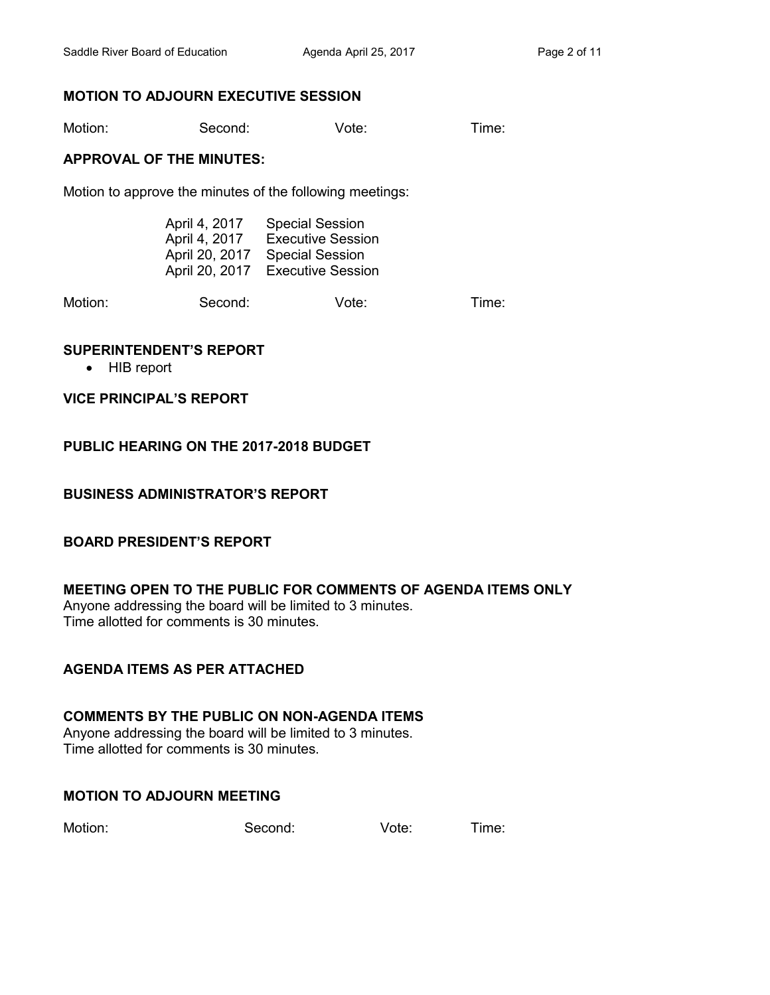# **MOTION TO ADJOURN EXECUTIVE SESSION**

Motion: Second: Vote: Time:

#### **APPROVAL OF THE MINUTES:**

Motion to approve the minutes of the following meetings:

| April 4, 2017  | <b>Special Session</b>   |
|----------------|--------------------------|
| April 4, 2017  | <b>Executive Session</b> |
| April 20, 2017 | <b>Special Session</b>   |
| April 20, 2017 | <b>Executive Session</b> |

Motion: Second: Vote: Time:

## **SUPERINTENDENT'S REPORT**

• HIB report

#### **VICE PRINCIPAL'S REPORT**

# **PUBLIC HEARING ON THE 2017-2018 BUDGET**

## **BUSINESS ADMINISTRATOR'S REPORT**

## **BOARD PRESIDENT'S REPORT**

## **MEETING OPEN TO THE PUBLIC FOR COMMENTS OF AGENDA ITEMS ONLY**

Anyone addressing the board will be limited to 3 minutes. Time allotted for comments is 30 minutes.

## **AGENDA ITEMS AS PER ATTACHED**

# **COMMENTS BY THE PUBLIC ON NON-AGENDA ITEMS**

Anyone addressing the board will be limited to 3 minutes. Time allotted for comments is 30 minutes.

## **MOTION TO ADJOURN MEETING**

Motion: Second: Vote: Time: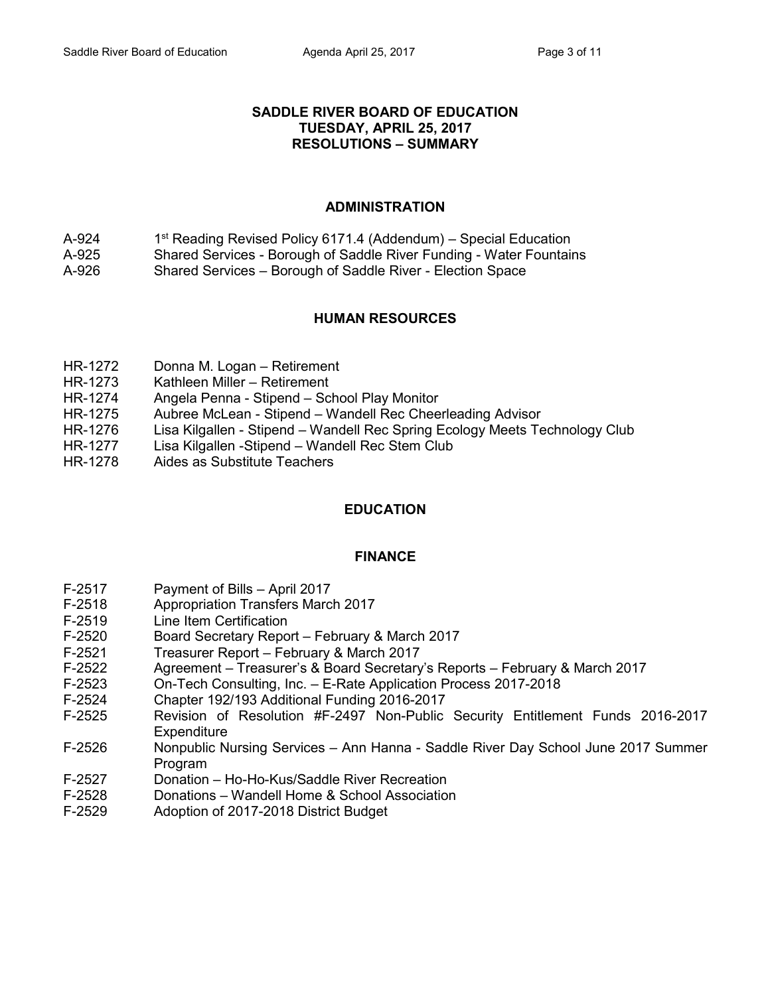#### **SADDLE RIVER BOARD OF EDUCATION TUESDAY, APRIL 25, 2017 RESOLUTIONS – SUMMARY**

# **ADMINISTRATION**

- $A-924$  $1<sup>st</sup>$  Reading Revised Policy 6171.4 (Addendum) – Special Education
- A-925 Shared Services Borough of Saddle River Funding Water Fountains
- A-926 Shared Services Borough of Saddle River Election Space

# **HUMAN RESOURCES**

- HR-1272 Donna M. Logan Retirement
- HR-1273 Kathleen Miller Retirement
- HR-1274 Angela Penna Stipend School Play Monitor
- HR-1275 Aubree McLean Stipend Wandell Rec Cheerleading Advisor
- HR-1276 Lisa Kilgallen Stipend Wandell Rec Spring Ecology Meets Technology Club
- HR-1277 Lisa Kilgallen -Stipend Wandell Rec Stem Club
- HR-1278 Aides as Substitute Teachers

## **EDUCATION**

## **FINANCE**

- F-2517 Payment of Bills April 2017
- F-2518 Appropriation Transfers March 2017
- F-2519 Line Item Certification
- F-2520 Board Secretary Report February & March 2017
- F-2521 Treasurer Report February & March 2017
- F-2522 Agreement Treasurer's & Board Secretary's Reports February & March 2017
- F-2523 On-Tech Consulting, Inc. E-Rate Application Process 2017-2018
- F-2524 Chapter 192/193 Additional Funding 2016-2017
- F-2525 Revision of Resolution #F-2497 Non-Public Security Entitlement Funds 2016-2017 **Expenditure**
- F-2526 Nonpublic Nursing Services Ann Hanna Saddle River Day School June 2017 Summer Program
- F-2527 Donation Ho-Ho-Kus/Saddle River Recreation
- F-2528 Donations Wandell Home & School Association
- F-2529 Adoption of 2017-2018 District Budget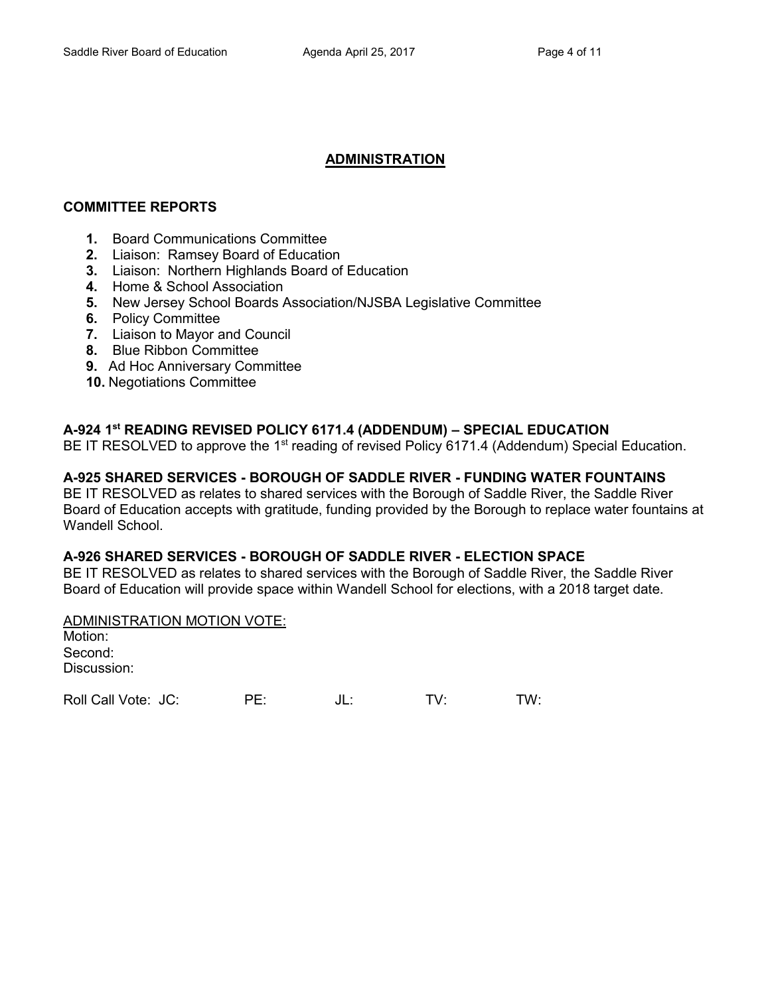# **ADMINISTRATION**

## **COMMITTEE REPORTS**

- **1.** Board Communications Committee
- **2.** Liaison: Ramsey Board of Education
- **3.** Liaison: Northern Highlands Board of Education
- **4.** Home & School Association
- **5.** New Jersey School Boards Association/NJSBA Legislative Committee
- **6.** Policy Committee
- **7.** Liaison to Mayor and Council
- **8.** Blue Ribbon Committee
- **9.** Ad Hoc Anniversary Committee
- **10.** Negotiations Committee

# **A-924 1 st READING REVISED POLICY 6171.4 (ADDENDUM) – SPECIAL EDUCATION**

BE IT RESOLVED to approve the 1<sup>st</sup> reading of revised Policy 6171.4 (Addendum) Special Education.

# **A-925 SHARED SERVICES - BOROUGH OF SADDLE RIVER - FUNDING WATER FOUNTAINS**

BE IT RESOLVED as relates to shared services with the Borough of Saddle River, the Saddle River Board of Education accepts with gratitude, funding provided by the Borough to replace water fountains at Wandell School.

## **A-926 SHARED SERVICES - BOROUGH OF SADDLE RIVER - ELECTION SPACE**

BE IT RESOLVED as relates to shared services with the Borough of Saddle River, the Saddle River Board of Education will provide space within Wandell School for elections, with a 2018 target date.

#### ADMINISTRATION MOTION VOTE:

Motion: Second: Discussion:

Roll Call Vote: JC: PE: JL: TV: TW: TW: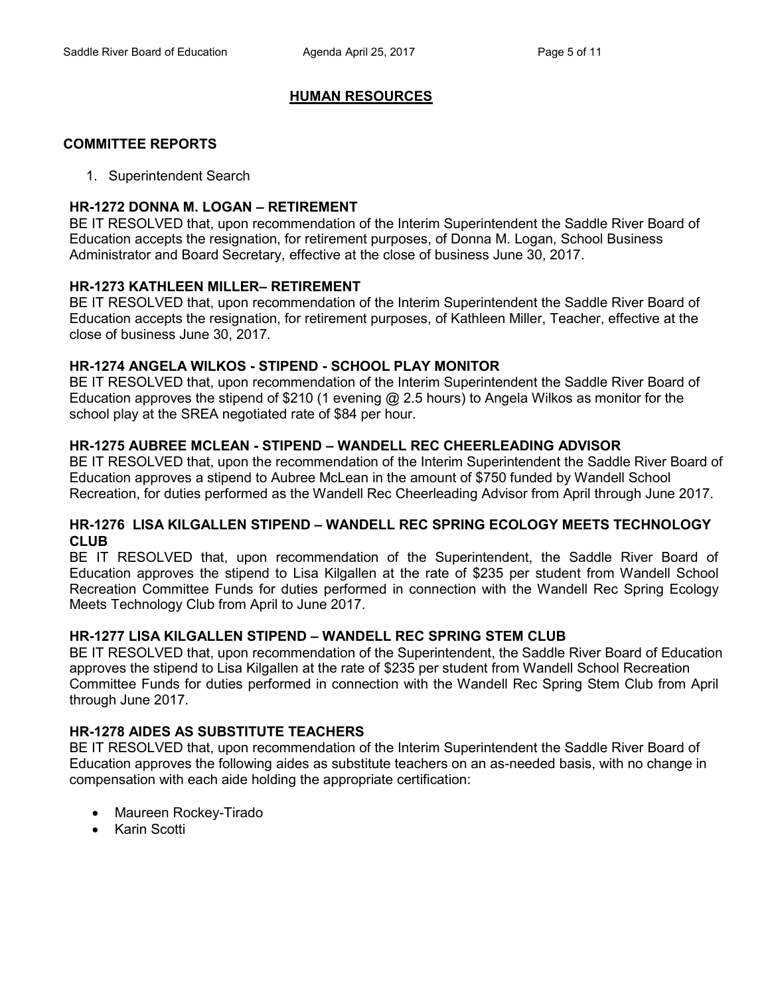## **HUMAN RESOURCES**

#### **COMMITTEE REPORTS**

1. Superintendent Search

## **HR-1272 DONNA M. LOGAN – RETIREMENT**

BE IT RESOLVED that, upon recommendation of the Interim Superintendent the Saddle River Board of Education accepts the resignation, for retirement purposes, of Donna M. Logan, School Business Administrator and Board Secretary, effective at the close of business June 30, 2017.

## **HR-1273 KATHLEEN MILLER– RETIREMENT**

BE IT RESOLVED that, upon recommendation of the Interim Superintendent the Saddle River Board of Education accepts the resignation, for retirement purposes, of Kathleen Miller, Teacher, effective at the close of business June 30, 2017.

## **HR-1274 ANGELA WILKOS - STIPEND - SCHOOL PLAY MONITOR**

BE IT RESOLVED that, upon recommendation of the Interim Superintendent the Saddle River Board of Education approves the stipend of \$210 (1 evening @ 2.5 hours) to Angela Wilkos as monitor for the school play at the SREA negotiated rate of \$84 per hour.

# **HR-1275 AUBREE MCLEAN - STIPEND – WANDELL REC CHEERLEADING ADVISOR**

BE IT RESOLVED that, upon the recommendation of the Interim Superintendent the Saddle River Board of Education approves a stipend to Aubree McLean in the amount of \$750 funded by Wandell School Recreation, for duties performed as the Wandell Rec Cheerleading Advisor from April through June 2017.

## **HR-1276 LISA KILGALLEN STIPEND – WANDELL REC SPRING ECOLOGY MEETS TECHNOLOGY CLUB**

BE IT RESOLVED that, upon recommendation of the Superintendent, the Saddle River Board of Education approves the stipend to Lisa Kilgallen at the rate of \$235 per student from Wandell School Recreation Committee Funds for duties performed in connection with the Wandell Rec Spring Ecology Meets Technology Club from April to June 2017.

## **HR-1277 LISA KILGALLEN STIPEND – WANDELL REC SPRING STEM CLUB**

BE IT RESOLVED that, upon recommendation of the Superintendent, the Saddle River Board of Education approves the stipend to Lisa Kilgallen at the rate of \$235 per student from Wandell School Recreation Committee Funds for duties performed in connection with the Wandell Rec Spring Stem Club from April through June 2017.

## **HR-1278 AIDES AS SUBSTITUTE TEACHERS**

BE IT RESOLVED that, upon recommendation of the Interim Superintendent the Saddle River Board of Education approves the following aides as substitute teachers on an as-needed basis, with no change in compensation with each aide holding the appropriate certification:

- Maureen Rockey-Tirado
- Karin Scotti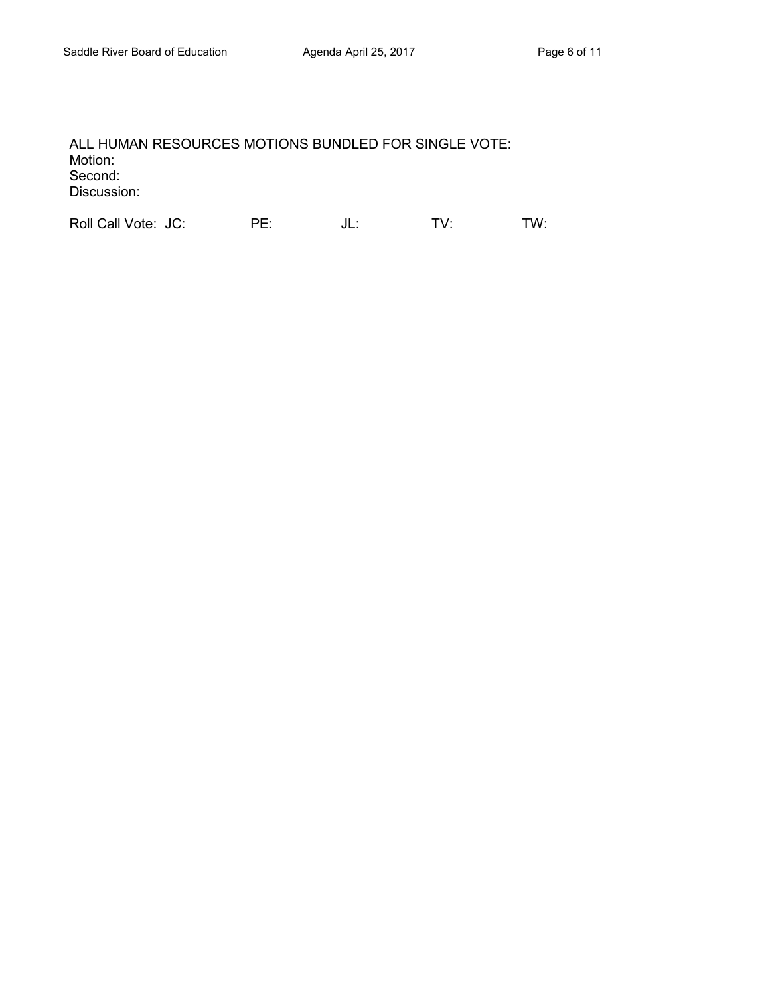# ALL HUMAN RESOURCES MOTIONS BUNDLED FOR SINGLE VOTE: Motion: Second: Discussion:

Roll Call Vote: JC: PE: JL: TV: TW: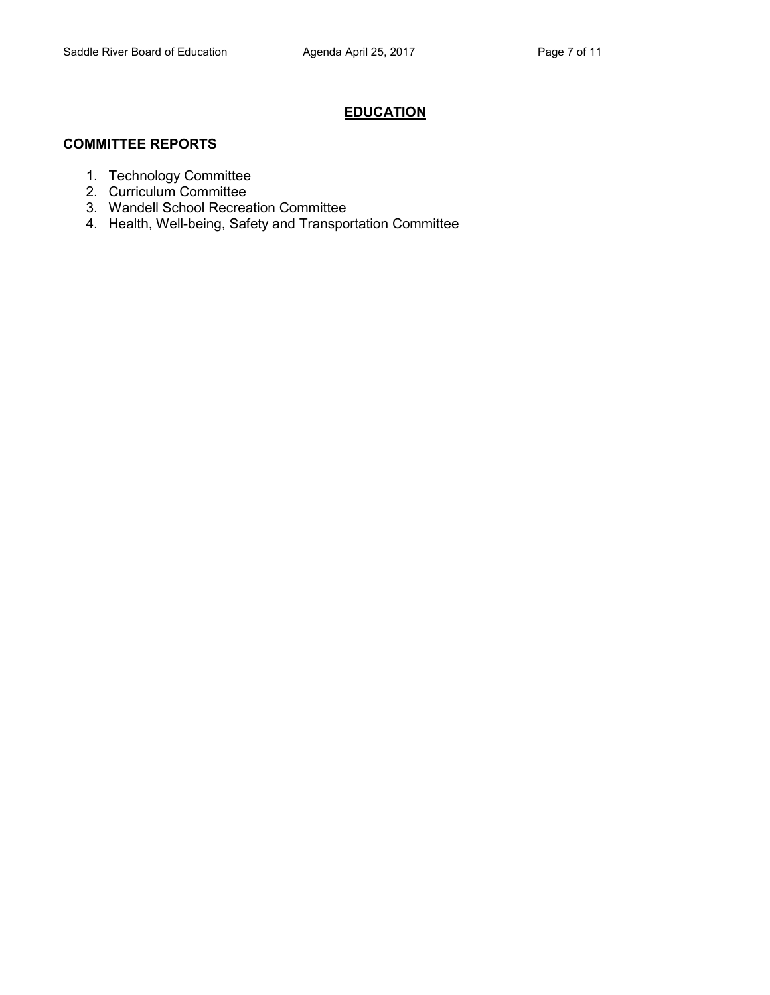# **EDUCATION**

## **COMMITTEE REPORTS**

- 1. Technology Committee
- 2. Curriculum Committee
- 3. Wandell School Recreation Committee
- 4. Health, Well-being, Safety and Transportation Committee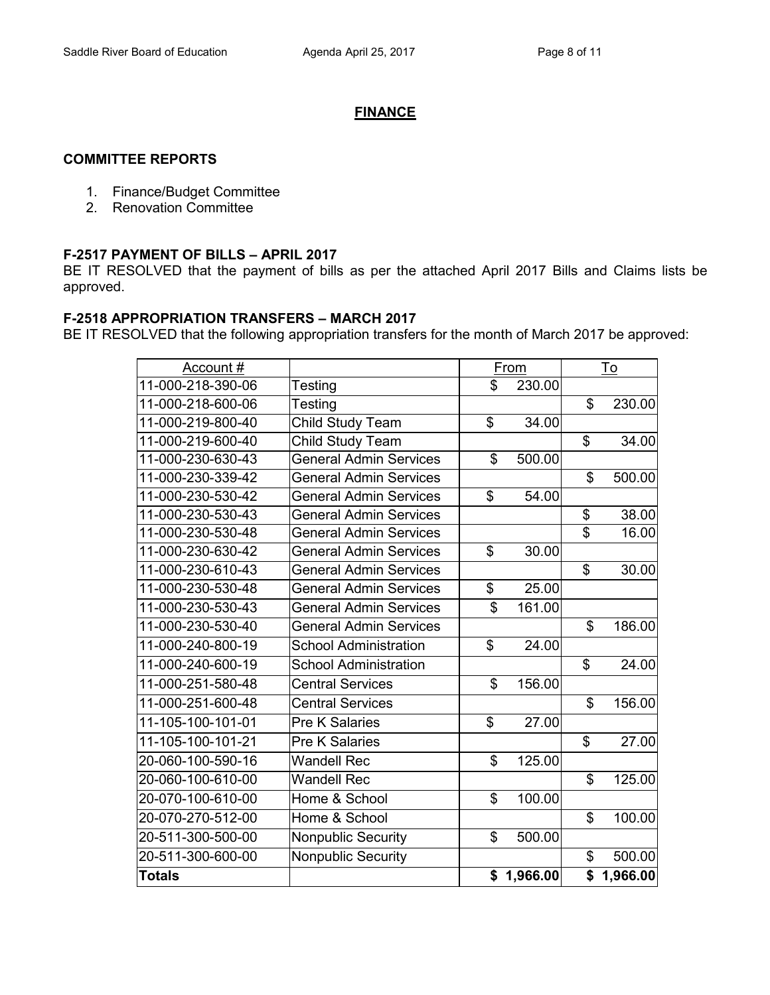## **FINANCE**

#### **COMMITTEE REPORTS**

- 1. Finance/Budget Committee
- 2. Renovation Committee

#### **F-2517 PAYMENT OF BILLS – APRIL 2017**

BE IT RESOLVED that the payment of bills as per the attached April 2017 Bills and Claims lists be approved.

#### **F-2518 APPROPRIATION TRANSFERS – MARCH 2017**

BE IT RESOLVED that the following appropriation transfers for the month of March 2017 be approved:

| Account#          |                               | From         |                | <u>To</u>  |
|-------------------|-------------------------------|--------------|----------------|------------|
| 11-000-218-390-06 | Testing                       | \$<br>230.00 |                |            |
| 11-000-218-600-06 | Testing                       |              | \$             | 230.00     |
| 11-000-219-800-40 | Child Study Team              | \$<br>34.00  |                |            |
| 11-000-219-600-40 | Child Study Team              |              | \$             | 34.00      |
| 11-000-230-630-43 | <b>General Admin Services</b> | \$<br>500.00 |                |            |
| 11-000-230-339-42 | General Admin Services        |              | \$             | 500.00     |
| 11-000-230-530-42 | <b>General Admin Services</b> | \$<br>54.00  |                |            |
| 11-000-230-530-43 | General Admin Services        |              | \$             | 38.00      |
| 11-000-230-530-48 | <b>General Admin Services</b> |              | \$             | 16.00      |
| 11-000-230-630-42 | <b>General Admin Services</b> | \$<br>30.00  |                |            |
| 11-000-230-610-43 | <b>General Admin Services</b> |              | \$             | 30.00      |
| 11-000-230-530-48 | <b>General Admin Services</b> | \$<br>25.00  |                |            |
| 11-000-230-530-43 | <b>General Admin Services</b> | \$<br>161.00 |                |            |
| 11-000-230-530-40 | <b>General Admin Services</b> |              | \$             | 186.00     |
| 11-000-240-800-19 | <b>School Administration</b>  | \$<br>24.00  |                |            |
| 11-000-240-600-19 | <b>School Administration</b>  |              | \$             | 24.00      |
| 11-000-251-580-48 | <b>Central Services</b>       | \$<br>156.00 |                |            |
| 11-000-251-600-48 | <b>Central Services</b>       |              | $\mathfrak{S}$ | 156.00     |
| 11-105-100-101-01 | <b>Pre K Salaries</b>         | \$<br>27.00  |                |            |
| 11-105-100-101-21 | <b>Pre K Salaries</b>         |              | \$             | 27.00      |
| 20-060-100-590-16 | <b>Wandell Rec</b>            | \$<br>125.00 |                |            |
| 20-060-100-610-00 | <b>Wandell Rec</b>            |              | \$             | 125.00     |
| 20-070-100-610-00 | Home & School                 | \$<br>100.00 |                |            |
| 20-070-270-512-00 | Home & School                 |              | \$             | 100.00     |
| 20-511-300-500-00 | <b>Nonpublic Security</b>     | \$<br>500.00 |                |            |
| 20-511-300-600-00 | <b>Nonpublic Security</b>     |              | \$             | 500.00     |
| Totals            |                               | \$1,966.00   |                | \$1,966.00 |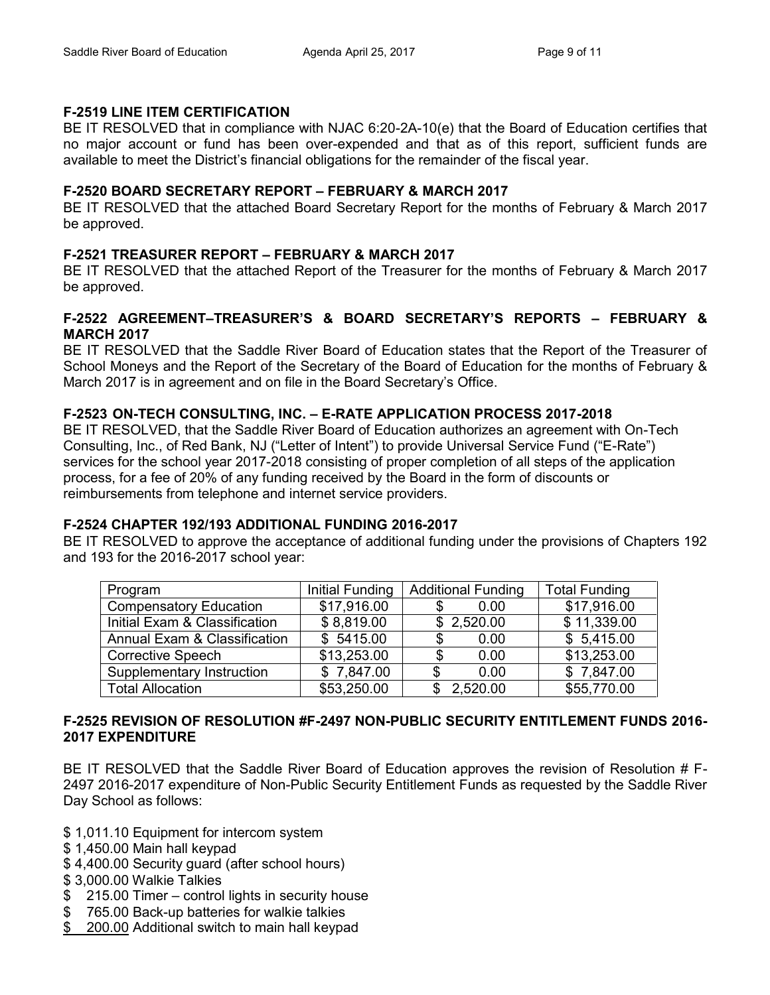## **F-2519 LINE ITEM CERTIFICATION**

BE IT RESOLVED that in compliance with NJAC 6:20-2A-10(e) that the Board of Education certifies that no major account or fund has been over-expended and that as of this report, sufficient funds are available to meet the District's financial obligations for the remainder of the fiscal year.

## **F-2520 BOARD SECRETARY REPORT – FEBRUARY & MARCH 2017**

BE IT RESOLVED that the attached Board Secretary Report for the months of February & March 2017 be approved.

# **F-2521 TREASURER REPORT – FEBRUARY & MARCH 2017**

BE IT RESOLVED that the attached Report of the Treasurer for the months of February & March 2017 be approved.

## **F-2522 AGREEMENT–TREASURER'S & BOARD SECRETARY'S REPORTS – FEBRUARY & MARCH 2017**

BE IT RESOLVED that the Saddle River Board of Education states that the Report of the Treasurer of School Moneys and the Report of the Secretary of the Board of Education for the months of February & March 2017 is in agreement and on file in the Board Secretary's Office.

# **F-2523 ON-TECH CONSULTING, INC. – E-RATE APPLICATION PROCESS 2017-2018**

BE IT RESOLVED, that the Saddle River Board of Education authorizes an agreement with On-Tech Consulting, Inc., of Red Bank, NJ ("Letter of Intent") to provide Universal Service Fund ("E-Rate") services for the school year 2017-2018 consisting of proper completion of all steps of the application process, for a fee of 20% of any funding received by the Board in the form of discounts or reimbursements from telephone and internet service providers.

# **F-2524 CHAPTER 192/193 ADDITIONAL FUNDING 2016-2017**

BE IT RESOLVED to approve the acceptance of additional funding under the provisions of Chapters 192 and 193 for the 2016-2017 school year:

| Program                       | Initial Funding | <b>Additional Funding</b> | <b>Total Funding</b> |
|-------------------------------|-----------------|---------------------------|----------------------|
| <b>Compensatory Education</b> | \$17,916.00     | 0.00                      | \$17,916.00          |
| Initial Exam & Classification | \$8,819.00      | \$2,520.00                | \$11,339.00          |
| Annual Exam & Classification  | \$5415.00       | 0.00<br>S                 | \$5,415.00           |
| <b>Corrective Speech</b>      | \$13,253.00     | 0.00                      | \$13,253.00          |
| Supplementary Instruction     | \$7,847.00      | 0.00                      | \$7,847.00           |
| <b>Total Allocation</b>       | \$53,250.00     | 2,520.00                  | \$55,770.00          |

## **F-2525 REVISION OF RESOLUTION #F-2497 NON-PUBLIC SECURITY ENTITLEMENT FUNDS 2016- 2017 EXPENDITURE**

BE IT RESOLVED that the Saddle River Board of Education approves the revision of Resolution # F-2497 2016-2017 expenditure of Non-Public Security Entitlement Funds as requested by the Saddle River Day School as follows:

- \$ 1,011.10 Equipment for intercom system
- \$ 1,450.00 Main hall keypad
- \$ 4,400.00 Security guard (after school hours)
- \$ 3,000.00 Walkie Talkies
- \$ 215.00 Timer control lights in security house
- \$ 765.00 Back-up batteries for walkie talkies
- 200.00 Additional switch to main hall keypad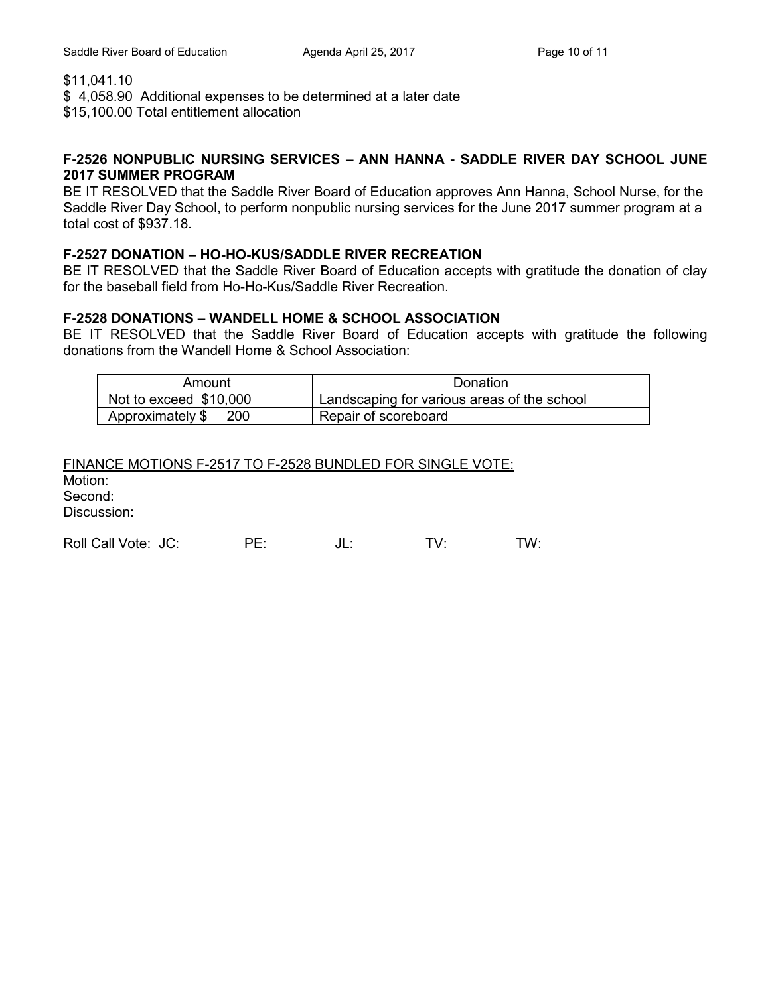\$11,041.10

\$4,058.90 Additional expenses to be determined at a later date \$15,100.00 Total entitlement allocation

#### **F-2526 NONPUBLIC NURSING SERVICES – ANN HANNA - SADDLE RIVER DAY SCHOOL JUNE 2017 SUMMER PROGRAM**

BE IT RESOLVED that the Saddle River Board of Education approves Ann Hanna, School Nurse, for the Saddle River Day School, to perform nonpublic nursing services for the June 2017 summer program at a total cost of \$937.18.

# **F-2527 DONATION – HO-HO-KUS/SADDLE RIVER RECREATION**

BE IT RESOLVED that the Saddle River Board of Education accepts with gratitude the donation of clay for the baseball field from Ho-Ho-Kus/Saddle River Recreation.

## **F-2528 DONATIONS – WANDELL HOME & SCHOOL ASSOCIATION**

BE IT RESOLVED that the Saddle River Board of Education accepts with gratitude the following donations from the Wandell Home & School Association:

| Amount                         | Donation                                    |
|--------------------------------|---------------------------------------------|
| Not to exceed \$10,000         | Landscaping for various areas of the school |
| Approximately \$<br><b>200</b> | Repair of scoreboard                        |

| FINANCE MOTIONS F-2517 TO F-2528 BUNDLED FOR SINGLE VOTE: |
|-----------------------------------------------------------|
| Motion:                                                   |
| Second:                                                   |
| Discussion:                                               |
|                                                           |

Roll Call Vote: JC: PE: JL: TV: TW: TW: